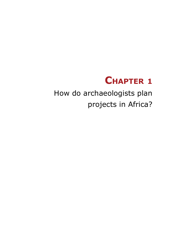# **Chapter 1**

How do archaeologists plan projects in Africa?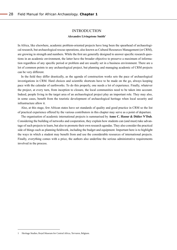#### **INTRODUCTION**

#### **Alexandre Livingstone Smith1**

In Africa, like elsewhere, academic problem-oriented projects have long been the spearhead of archaeological research, but archaeological rescue operations, also known as Cultural Resources Management (or CRM), are growing in strength and numbers. While the first are generally designed to answer specific research questions in an academic environment, the latter have the broader objective to preserve a maximum of information regardless of any specific period or problem and are usually set in a business environment. There are a lot of common points to any archaeological project, but planning and managing academic of CRM projects can be very different.

In the field they differ drastically, as the agenda of construction works sets the pace of archaeological investigations in CRM. Hard choices and scientific shortcuts have to be made on the go, always keeping pace with the calendar of earthworks. To do this properly, one needs a lot of experience. Finally, whatever the project, at every turn, from inception to closure, the local communities need to be taken into account. Indeed, people living in the target area of an archaeological project play an important role. They may also, in some cases, benefit from the touristic development of archaeological heritage when local security and infrastructure allow it.

Also, at this stage, few African states have set standards of quality and good practice in CRM so the list of practical experience offered by the various contributors in this chapter may serve as a point of departure.

The organisation of academic international projects is summarised by **Anne C. Haour & Didier N'Dah**. Considering the building of networks and cooperation, they explain how students can (and must) take advantage of such projects to learn, but also to promote their own research agendas. They also consider the practical side of things such as planning fieldwork, including the budget and equipment. Important here is to highlight the ways in which a student may benefit from and use the considerable resources of international projects. Finally, everything comes with a price, the authors also underline the serious administrative requirements involved in the process.

<sup>1</sup> Heritage Studies, Royal Museum for Central Africa, Tervuren, Belgium.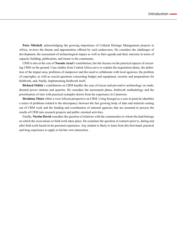**Peter Mitchell**, acknowledging the growing importance of Cultural Heritage Management projects in Africa, reviews the threats and opportunities offered by such endeavours. He considers the challenges of development, the assessment of archaeological impact as well as their agenda and their outcome in terms of capacity building, publication, and return to the community.

CRM is also at the core of **Noemie Arazi**'s contribution, but she focuses on the practical aspects of executing CRM on the ground. Case studies from Central Africa serve to explain the negotiation phase, the definition of the impact area, problems of manpower and the need to collaborate with local agencies, the problem of copyrights, as well as crucial questions concerning budget and equipment, security and preparations for fieldwork, and, finally, implementing fieldwork itself.

**Richard Oslisly**'s contribution on CRM handles the case of rescue and preventive archaeology on roads, thermal power stations and quarries. He considers the assessment phase, fieldwork methodology and the prioritisation of sites with practical examples drawn from his experience in Cameroon.

**Ibrahima Thiaw** offers a west African perspective on CRM. Using Senegal as a case in point he identifies a series of problems related to the discrepancy between the fast growing body of data and material coming out of CRM work and the funding and coordination of national agencies that are assumed to process the results of CRM into research projects and public oriented activities.

Finally, **Nicolas David** considers the question of relations with the communities to whom the land belongs on which the excavations or field work takes place. He examines the question of contacts prior to, during and after field work based on his personal experience. Any student is likely to learn from this first-hand, practical and long experience to apply to his/her own interaction.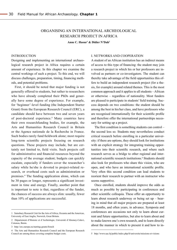# ORGANISING AN INTERNATIONAL ARCHEOLOGICAL research PROJECT IN AFRICA

**Anne C. Haour1 & Didier N'Dah2**

#### INTRODUCTION **<sup>1</sup>**

Designing and implementing an international archaeological research project in Africa requires a certain amount of experience. In this chapter we examine the central workings of such a project. To this end, we will discuss challenges, preparation, timing, financing methods, and potential problems.

First, it should be noted that major funding is not generally offered to students, but rather to researchers who have already completed their PhDs and generally have some degree of experience. For example, for 'beginner'-level funding (the Independent Starter Grant) from the European Research Council (ERC), a candidate should have between two and seven years of post-doctoral experience.<sup>3</sup> Many countries have their own researchfunding bodies, for example, the Arts and Humanities Research Council in Britain or the Agence nationale de la Recherche in France. Such bodies rarely fund fieldwork alone; most require long-term scientific projects focusing on research questions. These projects may include, but are certainly not limited to, field visits. Such projects call for administrative and financial resources beyond the capacity of the average student; budgets can quickly escalate, especially if funders cover the researcher's salary while he/she is devoted to project-related research, or overhead costs such as administration or premises.<sup>4</sup> The funding application alone, which can be 30 pages or longer, represents a significant investment in time and energy. Finally, another point that is important to note is that, regardless of the funder, the chances of success are always slim: usually, fewer than 10% of applications are successful.

#### I. NETWORKS AND COOPERATION

A student of an African institution has an indirect means of access to this type of financing: the student may join a research project in which his or her professors are involved as partners or co-investigators. The student can thereby take advantage of the field opportunities this offers to build an independent research project (for a thesis, for example) around related themes. This is the most common approach and it applies to all students – African or otherwise – regardless of nationality. Most funders are pleased to participate in students' field training. Success depends on two conditions: the student should be among the best in his/her class, and have professors who are recognised internationally for their scientific profile and therefore offer the international partnerships necessary for setting up a project.

The first condition is something students can control – the second less so. Students may nevertheless conduct critical research before enrolling in a particular university: if there are options, they should look for institutions with an explicit strategy for integrating training opportunities into their scientific research, and where such research serves as a bridge to other regional and international scientific research institutions.<sup>5</sup> Students should also look for professors who share this vision, who are open, and who have an international scientific profile. Very often this second condition can lead students to reorient their research to partner with an instructor who seems supportive.

Once enrolled, students should improve the odds as much as possible by participating in conferences and other scientific colloquia. These offer an opportunity to learn about research underway or being set up – bearing in mind that all major projects are prepared at least 18 months, and often years, in advance. Symposia and conferences are occasions not only to learn about current and future opportunities, but also to learn about and to make known one's own research, and to learn directly about the manner in which to present it and how to in-

<sup>1</sup> Sainsbury Research Unit for the Arts of Africa, Oceania and the Americas, University of East Anglia, Norwich, Great Britain.

<sup>2</sup> Département d'Histoire et d'Archéologie, Université d'Abomey-Calavi, Cotonou, Benin.

<sup>3</sup><http://erc.europa.eu/starting-grants/french>

<sup>4</sup> The Arts and Humanities Research Council and the European Research Council are among those covering complete budget costs.

<sup>5</sup> [http://www.uac.bj/public/index.php/fr/universite/missions-](http://www.uac.bj/public/index.php/fr/universite/missions)et-visions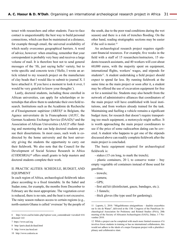teract with researchers and other students. Face-to-face contact is unquestionably the best way to build personal connections, which can then be maintained at a distance, for example through email, the universal availability of which neatly overcomes geographical barriers. A word of advice, however: when emailing, remember that your correspondent is probably very busy and receives a large volume of mail. It is therefore best not to send general messages of the 'Hi, just saying hello' variety, but to write specific and concrete texts ('Hello, I wrote an article related to my research project on the manufacture of clay beads that I would like to submit to journal X. I have attached it. If you have a moment to look it over, I would be very grateful to know your thoughts').

Lastly, doctoral students, including those enrolled in African universities, can apply for scholarships or internships that allow them to undertake their own field research. Institutions such as the Académie de Recherche et d'Enseignement supérieur (ARES)<sup>6</sup> in Belgium, the Agence universitaire de la Francophonie (AUF)<sup>7</sup> , the German Academic Exchange Service (DAAD),<sup>8</sup> and the Association of African Universities (AAU)<sup>9</sup> offer funding and mentoring that can help doctoral students pursue their dissertations. In most cases, such work is codirected by the home university and the host university giving the students the opportunity to carry out their fieldwork. We also note that the Council for the Development of Social Science Research in Africa (CODESRIA)<sup>10</sup> offers small grants to help masters and doctoral students complete their work.

## II. PRACTIC ALITIES: SCHEDULE, BUDGET, AND EQUIPMENT

In each region of Africa, archaeological fieldwork takes place according to a fixed timetable. In the Sahel and Sudan zone, for example, the months from December to February are the most appropriate. The vegetation cover is reduced, there is no rain, and the heat is not excessive. The rainy season reduces access to certain regions (e.g., north-eastern Ghana is called 'overseas' by the people of

- 9 <http://www.iau-hesd.net>
- 10 <http://www.codesria.sn>

the south, due to the poor road conditions during the wet season) and there is a risk of trenches flooding. On the other hand, reading stratigraphic sections may be easier if the soil is moist.<sup>11</sup>

An archaeological research project requires significant financial resources. For example, five weeks in the field with a staff of 15 researchers/instructors, 15 students/research assistants, and 40 workers will cost about 60,000 euros, with the majority spent on equipment, international flights, workers' wages, and stipends for students<sup>12</sup>. A student undertaking a field project should expect to spend far less. By running fieldwork at the same time as the main project or soon after it, a student may be offered the use of excavation equipment for free or for a nominal fee. Students may also benefit from the network of administrative alliances that coordinators of the main project will have established with local institutions, and from workers already trained for the task. Maintaining and fuelling a vehicle remains a significant budget item; for research that doesn't require transporting too much equipment, a motorcycle might suffice. It is worth approaching the main project coordinators to see if the price of some radiocarbon dating can be covered. A student who happens to get one of the stipends discussed above can readily complete fieldwork after the main project is concluded.

The basic equipment required for archaeological fieldwork is:

- stakes (15 cm long, to mark the trench);

- plastic containers, 20 l, to conserve water  $-$  buy empty vegetable oil containers instead of those used for gasoline;

- trowels;
- camera;
- GPS;
- first aid kit (disinfectant, gauze, bandages, etc.);
- 3 funnels;
- thick gloves (the type used for gardening);

<sup>6</sup> [http://www.cud.be/index.php?option=com\\_content&task=view&id=416](http://www.cud.be/index.php?option=com_content&task=view&id=416&Itemid=143) [&Itemid=143](http://www.cud.be/index.php?option=com_content&task=view&id=416&Itemid=143)

<sup>7</sup> <https://www.auf.org>

<sup>8</sup> <http://paris.daad.de/daad.html>

<sup>11</sup> Laporte, L. 2010. "Mégalithismes sénégambiens – dualités exacerbées sur le site de Wanar", delivered at the 13th Congress of the Panafrican Archaeological Association for Prehistory and Related Studies (PAA), 20th meeting of the Society of Africanist Archaeologists (SAfA), Dakar, 1-7 November 2010.

<sup>12</sup> While a project can be completed with much more limited resources if it involves fewer students in training or has no international collaborators, this would not adhere to the ideals of a major European project with a pluridisciplinary and collaborative slant.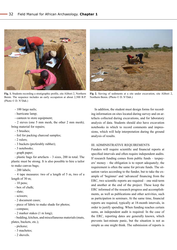

**Fig. 1.** Students recording a stratigraphic profile, site Alibori 2, Northern Benin. The sequence includes an early occupation at about 2,500 B.P. (Photo © D. N'Dah.)



**Fig 2.** Sieving of sediments at a site under excavation, site Alibori 2, Northern Benin. (Photo © D. N'Dah.)

- 100 large nails;
- hurricane lamp;
- canteen to store equipment;

- 2 sieves (one 5 mm mesh, the other 2 mm mesh); bring material for repairs;

- 5 brushes;
- foil for packing charcoal samples;
- 2 rulers;
- 3 buckets (preferably rubber);
- 3 notebooks;
- graph paper;

- plastic bags for artefacts – 3 sizes, 200 in total. The plastic must be strong. It is also possible to hire a tailor to make canvas bags;

- 200 labels;

- 4 tape measures: two of a length of 5 m, two of a length of 30 m;

- 10 pens;
- box of chalk;
- slate;
- scissors;
- 2 document cases;
- piece of fabric to make shade for photos;
- compass;
- 2 marker stakes (1 m long);

- bedding, kitchen, and miscellaneous materials (mats, plates, buckets, etc.);

- pickaxe;
- 3 machetes;
- 2 shovels.

In addition, the student must design forms for recording information on sites located during survey and on artefacts collected during excavations, and for laboratory analysis of data. Students should also have excavation notebooks in which to record comments and impressions, which will help interpretation during the ground analysis of results.

### III. ADMINISTRATIVE REQUIREMENTS

Funders will require scientific and financial reports at specified intervals and often require independent audits. If research funding comes from public funds – taxpayers' money – the obligation is to report adequately; the requirement is often the same for private funds. The situation varies according to the funder, but to take the example of 'beginner' and 'advanced' financing from the ERC, two scientific reports are required – one mid-term and another at the end of the project. These keep the ERC informed of the research progress and accomplishments, as well as publications and other activities, such as participation in seminars. At the same time, financial reports are required, typically at 18-month intervals, in order to justify spending. When funding reaches certain sums, an independent audit is required. In the case of the ERC, reporting dates are generally known, which prevents last-minute panic, but the situation is not as simple as one might think. The submission of reports is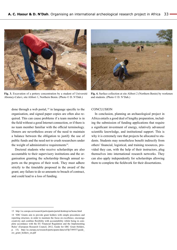

**Fig. 3.** Excavation of a pottery concentration by a student of Université Abomey-Calavi, site Alibori 1, Northern Benin. (Photo © D. N'Dah.)



**Fig. 4.** Surface collection at site Alibori 2 (Northern Benin) by workmen and students. (Photo © D. N'Dah.)

done through a web portal,  $13$  in language specific to the organisation, and signed paper copies are often also required. This can cause problems if a team member is in the field without a good Internet connection, or if there is no team member familiar with the official terminology. Donors are nevertheless aware of the need to maintain a balance between the obligation to justify the use of public funds and the need not to crush researchers under the weight of administrative requirements<sup>14</sup>.

Doctoral students who receive scholarships are also accountable to their supervisory institutions and the organisation granting the scholarship through annual reports on the progress of their work. They must adhere strictly to the timetable proposed in the award of the grant; any failure to do so amounts to breach of contract, and could lead to a loss of funding.

#### **CONCLUSION**

In conclusion, planning an archaeological project in Africa entails a good deal of lengthy preparation, including the submission of funding applications that require a significant investment of energy, relatively advanced scientific knowledge, and institutional support. This is why it is extremely rare that projects be allocated to students. Students may nonetheless benefit indirectly from others' financial, logistical, and training resources, provided they can, with the help of their instructors, plug themselves into international research networks. They can also apply independently for scholarships allowing them to complete the fieldwork for their dissertations.

<sup>13</sup> <http://ec.europa.eu/research/participants/portal/desktop/en/home.html>

<sup>14</sup> 'ERC Grants aim to provide grant holders with simple procedures and reporting structure, in order to maintain the focus on excellence, encourage creativity and combine flexibility with accountability whilst being in complete accordance with the EU Financial Regulation and the Implementing Rules' (European Research Council, 2012, Guide for ERC Grant Holders, p. 15). [http://ec.europa.eu/research/participants/data/ref/fp7/89557/guide\\_](http://ec.europa.eu/research/participants/data/ref/fp7/89557/guide_erc_grant_holders_en.pdf) [erc\\_grant\\_holders\\_en.pdf](http://ec.europa.eu/research/participants/data/ref/fp7/89557/guide_erc_grant_holders_en.pdf)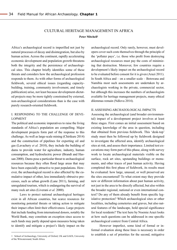# Cultural heritage management in Africa Peter Mitchell<sup>1</sup>

Africa's archaeological record is imperilled not just by natural processes of decay and disintegration, but also by human action. Across the continent, rapidly accelerating economic development and population growth threatens both the integrity and the persistence of archaeological sites. This chapter briefly identifies some of these threats and considers how the archaeological profession responds to them. As with other forms of archaeological fieldwork, several ethical issues (regarding capacitybuilding, training, community involvement, and timely publication) arise, not least because development-dictated projects may be more tightly constrained by external, non-archaeological considerations than is the case with purely research-oriented fieldwork.

## I. RESPONDING TO THE CHALLENGE OF DEVE-LOPMENT

The political and economic imperatives to raise the living standards of Africa's population are compelling. Major development projects form part of the response to this challenge. As well as large-scale mining (Chirikure 2014) and the construction of pipelines for exporting oil and gas (Lavachery *et al.* 2010), they include the building of dams to provide water for agriculture, industry, human consumption, and hydroelectric power (Brandt and Hassan 2000). Dams pose a particular threat to archaeological resources because they often flood large areas that may have been especially attractive to past populations. However, the archaeological record is also affected by the cumulative impact of other, less immediately obtrusive processes, such as urban growth (Lane 2011), farming, and unregulated tourism, which is endangering the survival of many rock art sites (Liverani *et al.* 2000).

Laws to protect national archaeological heritages exist in all African countries, but scarce resources for monitoring potential threats or taking action to mitigate their impact often limit their effectiveness. Large projects that include funding from international donors, notably the World Bank, may constitute an exception since access to such funds may partly depend upon measures being taken to identify and mitigate a project's likely impact on the archaeological record. Only rarely, however, must developers cover such costs themselves through the principle of the 'polluter pays', i.e. those who profit from destroying archaeological resources must pay the costs of minimizing that destruction. Moreover, few countries require a development's likely impact on the archaeological record to be evaluated before consent for it is given (Arazi 2011). In South Africa and – on a smaller scale – Botswana and Namibia most such assessments are undertaken by archaeologists working in the private, commercial sector, but although this increases the numbers of archaeologists available for heritage management projects, many ethical dilemmas remain (Ndlovu 2014).

## II. ASSESSING ARCHAEOLOGICAL IMPACTS

Assessing the archaeological (and broader environmental) impact of a development project involves at least three stages. First comes an initial assessment based on existing knowledge of the area in question, including that obtained from previous fieldwork. This 'desk-top' study must then be followed up by fieldwork designed to investigate the affected area, identify archaeological sites at risk, and assess their importance. Limited test excavations may form part of this phase, along with survey work to locate archaeological materials visible on the surface, rock art sites, upstanding buildings or monuments, and other traces of past human activity. Having completed this first phase of fieldwork, its results must be evaluated: how large, unusual, or well preserved are the sites encountered? To what extent may they provide new or different information about past human activity, not just in the area to be directly affected, but also within the broader regional, national or even international context? Do any of them already benefit from specific legislative protection? Which archaeological sites or other localities, including cemeteries and graves, but also natural features of the landscape, hold special significance for local residents? The text here by Noemie Arazi looks at how such questions can be addressed in one specific archaeological context from Central Africa.

However imperfect, some kind of formal or informal evaluation along these lines is necessary in order to establish a set of priorities for the second, mitigative

<sup>1</sup> School of Archaeology, University of Oxford, UK and GAES, University of the Witwatersrand, South Africa.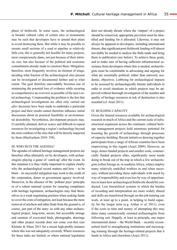phase of fieldwork. In some cases, the archaeological or broader cultural value of certain sites or monuments may be such that developers have to amend their plans to avoid destroying them. But while it may be possible to reroute small sections of a road or pipeline at relatively little cost, this is generally not feasible for many projects, most conspicuously dams, not just because of their intrinsic size, but also because of the political and economic commitments already made to construct them. Mitigation, therefore, most frequently involves an element of triage, deciding what fraction of the archaeological sites present can be investigated or documented further and to what extent. The goal therefore unavoidably becomes one of minimizing the potential loss of evidence while securing as comprehensive an overview as possible of the area's total archaeology. Compounding the problem is the fact that archaeological investigations are often only carried out *after* decisions have been made to undertake a particular project and their results cannot therefore influence initial discussions about its practical feasibility or environmental desirability. Nevertheless, development projects may, if carefully planned, deliver scarce and difficult-to-repeat resources for investigating a region's archaeology beyond the strict confines of the sites that will be directly impacted by them (MacEachern 2010: 358).

#### III. WHO SETS THE AGENDA?

The agendas of cultural heritage management projects are therefore often ultimately set by developers, with archaeologists playing a game of 'catch-up' after the event. In this situation it is thus vitally important to explain clearly why the archaeological record matters and how  $-$  to be blunt – its successful mitigation may work to the credit of the corporation, donor or government agency involved. Moreover, in the absence of the 'polluter pays' principle or of a robust national system for ensuring compliance with heritage legislation, archaeologists may find themselves in a weak negotiating position when seeking funds to cover the costs of mitigation, not least because the mere removal of artefacts and other finds from the ground is, of course, just part of the story: as with any other archaeological project, long-term, secure, but accessible storage and curation of excavated finds, photographs, drawings and other project records does not come cost-free (see Kleinitz & Näser 2011 for a recent high-profile instance where this was not adequately covered). Where resources for these tasks are limited, or where national legislation

does not already dictate where the 'outputs' of a project should be conserved, appropriate provision must be identified and funding for it allocated. Likewise, it may not always be apparent to developers, including international donors, that significant post-fieldwork funding will almost inevitably be needed to analyse the finds made and bring them to publication (see below). To achieve these goals, and to make sure of having sufficient infrastructural assistance from developers where this is needed, archaeologists must be comfortable in advocating and arguing for what are essentially political, rather than narrowly academic, objectives. Lobbying for archaeological impacts to be assessed by archaeologically literate individuals in order to avoid situations in which projects may be approved without thorough investigation of the number and quality of heritage resources at risk of destruction is also essential (cf. Arazi 2011).

#### IV. BUILDING CAPACITY

Given the limited resources available for archaeological research in much of Africa and the current scale of infrastructural expansion across the continent, cultural heritage management projects hold enormous potential for boosting the growth of archaeology through processes of capacity-building. Recent initiatives drawing together participants from a range of African countries have been empowering in this regard (Arazi 2009). However, on large, donor-funded projects and smaller scale, commercially funded projects alike, significantly more needs doing to break out of the trap in which a few archaeologists (often foreign or, in southern Africa, white) employ many relatively unskilled workers as and when necessary, without providing those individuals with much by way of responsibility and even less by way of opportunities to learn how archaeological fieldwork should be conducted. Less hierarchical systems in which the burden of recording and interpretation are more widely shared and skills are transferred through on-the-job training can work, at least up to a point, in helping to build capacity for the longer term (e.g. Arthur *et al.* 2011), even if the costs in time and money of attempting this may deter many commercially oriented archaeologists from following suit. Happily, at least in principle, one major international donor – the World Bank – recently recommitted itself to strengthening institutions and encouraging training through the heritage-related projects that it funds in Africa and elsewhere (Arazi 2011).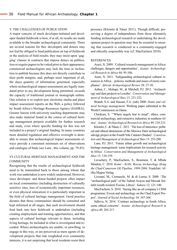#### V. THE CHALLENGES OF PUBLICATION

A major concern of much developer-initiated and developer-funded fieldwork is how, if at all, its results are made available to the broader archaeological community. There are several reasons for this: developers and donors may not feel/be obliged to fund publication on top of fieldwork or the analysis of field results; they may insist upon 'gagging' clauses in contracts that impose delays on publication or require papers to be vetted prior to their appearance; commercial archaeologists may lack the time or inclination to publish because this does not directly contribute to their profit margins; and, perhaps most important of all, the sheer quantity of information generated, especially where archaeological impact assessments are legally mandated prior to any development being permitted, exceeds the capacity of traditional journal or monograph outlets. One solution is to exploit new electronic media and place impact assessment reports on the Web, a policy followed by South Africa's Heritage Resources Agency (SAHRA). Greater liaison with university teaching departments may also make material found in the course of cultural heritage management projects available for further research and study, even where specific funding for this was not included in a project's original funding. In many countries more detailed regulation and effective oversight is desirable to ensure that archaeological impact assessments always provide a consistent minimum set of observations and catalogue of finds (see Lane , this volume, pp. 79-85).

## VI. CULTURAL HERITAGE MANAGEMENT AND THE COMMUNITY

Recognising that the results of archaeological fieldwork need to be transmitted back to those among whom that work was undertaken is now widely understood. However, since developer- and donor-funded projects often impact on local communities (including destruction of culturally sensitive sites, loss of economically important resources, or even physical relocation) it is particularly important in the field of cultural heritage management. Good practice dictates that those communities should be consulted and kept informed at all stages, that such involvement should feed back into how fieldwork is undertaken (including creating employment and training opportunities), and that aspects of cultural heritage relevant to them, including living heritage, be included in what is investigated and recorded. Where archaeologists are unable, or unwilling, to engage in this way, or are perceived as mere agents of development projects that ride roughshod over community interests, it is not surprising that local residents resist their

presence (Kleinitz & Näser 2011). Though difficult, preserving a degree of independence from those ultimately funding archaeological research or undertaking the development project in question may thus be essential to ensuring that research is conducted in a community-engaged and ethically responsible way (cf. MacEachern 2010).

#### REFERENCES

Arazi, N. 2009. 'Cultural research management in Africa: challenges, dangers and opportunities'. *Azania: Archaeological Research in Africa* 44: 95-106.

Arazi, N. 2011. 'Safeguarding archaeological cultural resources in Africa – policies, methods and issues of (non) compliance'. *African Archaeological Review* 28: 27-38.

Arthur, C., Mohapi, M., & Mitchell, P.J. 2011. 'Archaeology and dam projects in Lesotho'. *Conservation and Management of Archaeological Sites* 13: 231-252.

Brandt, S.A. and Hassan, F.A. (eds) 2000. *Dams and cultural heritage management*. Working paper submitted to the World Commission on Dams.

Chirikure, S. '"Where angels fear to tread": ethics, commercial archaeology, and extractive industries in southern Africa'. *Azania: Archaeological Research in Africa* 49: 218-231.

Kleinitz, C. & Näser, C. 2011. 'The loss of innocence: political and ethical dimensions of the Merowe Dam archaeological salvage project at the Fourth Nile Cataract (Sudan)'. *Conservation and Management of Archaeological Sites* 13: 253-280.

Lane, P.J. 2011. 'Future urban growth and archaeological heritage management: some implications for research activity in Africa'. *Conservation and Management of Archaeological Sites* 13: 134-159.

Lavachery, P., MacEachern, S., Bouimon, T. & Mbida Mindzie, C. 2010. *Komé – Kribi: Rescue Archaeology Along the Chad-Cameroon Oil Pipeline, 1999-2004*. Frankfurt: Afrika Magna Verlag.

Liverani, M., Cremaschi, M. & di Lernia, S. 2000. 'The "archaeological park" of the Tadrart Acacus and Messak Settafet (south-western Fezzan, Libya)'. *Sahara* 12: 121-140.

MacEachern, S. 2010. 'Seeing like an oil company's CHM programme: Exxon and archaeology on the Chad Export Project'. *Journal of Social Archaeology* 10: 347-366.

Ndlovu, N. 2014. 'Contract archaeology in South Africa: some ethical concerns'. *Azania: Archaeological Research in Africa* 49: 203-217.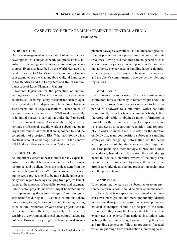## Case study: heritage management in Central Africa

**Noemie Arazi1**

#### INTRODUCTION**<sup>1</sup>**

Heritage management in the context of infrastructural development is a major concern for professionals involved in the safeguard of Africa's archaeological resources. Even sites inscribed on the World Heritage List need to face up to Africa's infrastructure boom (for recent examples see the Mapungubwe Cultural Landscape in South Africa and the Ecosystem and Relict Cultural Landscape of Lopé-Okanda in Gabon).

National legislation for the protection of cultural heritage exists in all African countries. However many countries still lack regulatory mechanisms such as open calls for tenders for independently led cultural heritage assessments and salvage excavations. Hence much of cultural resource management (CRM) work, especially in its initial phases, is carried out under the framework of Environmental Impact Assessments (EIA) whereby heritage professionals usually work as subcontractors to larger environmental firms that are appointed to lead the compilation of a project's EIA. What now follows is a practical account on heritage assessment in the context of EIA, drawn from experience in Central Africa.

#### I. NEGOTIATION

An important element to bear in mind for any expert involved in a cultural heritage assessment is to evaluate the project and its client. Does the project stem from the public or the private sector? From personal experience, public sector projects tend to be more challenging especially with regard to delays, ranging from project launch dates, to the approval of specialist reports and payment. Public sector projects, however, might be better suited for implementing the actual salvage of archaeological sites identified during an EIA as state institutions adhere more closely to regulations concerning the safeguarding of its cultural resources. Private sector projects tend to be managed more efficiently, especially if the client is sensitive to environmental, social and cultural safeguard policies. However, they might be less inclined to implement salvage excavations, as the archaeological resources present within a project imprint constitute state resources. Having said that, there are no general rules to any of those projects as much depends on the contracting authority's experience in handling large-scale infrastructure projects, the project's financial management and the client's commitment to operate by the rules and regulations.

#### II. IMPACT AREA

Environmental firms in need of cultural heritage subcontractors have a tendency to remain vague about the extent of a project's impact area in order to limit the period of fieldwork to a minimum, which naturally bears directly on a heritage assessment's budget. It is therefore advisable to obtain as much information as possible on the extent of a project's impact area and its characteristics regarding vegetation and topography in order to make a realistic offer on the duration of fieldwork, team composition, subsequent sampling strategies and budgeting. Information on the scope and topography of the study area are also important tools for planning a methodology. If previous studies have already been done in the region, the methodology needs to include a literature review of the study area, the assessment's aims and objectives, the scope of the proposed work, details about prospection techniques and the project team.

#### III. MANPOWER

When planning the team as a subcontractor to an environmental firm, a point should be made about the necessity for at least two experts as two trained individuals can cover more ground and more importantly, identify more sites, than just one person. Whenever possible a national counterpart should also be part of the team. Not only do they know the local context far better than expatriates but experts from national institutions tend to bring the necessary weight on sensitizing the client and funding agencies on follow-up programs if needed, which might range from construction monitoring to sal-

<sup>1</sup> Université Libre de Bruxelles and Heritage Studies, Royal Museum for Central Africa, Belgium.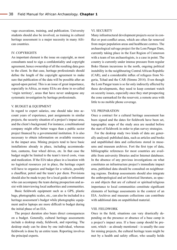vage excavations, training, and publication. University students should also be involved, as training in cultural heritage assessment is a major necessity in many African countries.

## IV. COPYRIGHTS

An important element is the issue on copyright, as most consultants need to sign a confidentiality and copyright agreement, hence ownership of all the resulting data goes to the client. In that case, heritage professionals should define the length of the copyright agreement to make sure that publication of the data will be possible after an agreed-upon period. This is an issue of great importance, especially in Africa, as many EIAs are done in so-called 'virgin territory', areas that have never undergone any systematic investigation by heritage professionals.

#### V. BUDGET & EQUIPMENT

In regard to expert salaries, one should take into account years of experience, past assignments in similar projects, the security situation of a project's impact area, and the client's background. For instance, a multinational company might offer better wages than a public sector project financed by a governmental institution. It is also necessary to obtain information on available resources in the impact area. Mining projects tend to have basic installations already in place, including accommodation, canteens, four wheel drives, etc. In that case the budget might be limited to the team's travel costs, visas and medication. If the EIA takes place in a location with no logistical resources yet in place, the heritage expert will have to organize and budget for a vehicle, possibly a chauffeur, petrol and the team's per diem. Provisions should also be made to pay for a local guide or informant who can accompany the team during prospection and assist with interviewing local authorities and communities.

Basic fieldwork equipment such as a GPS, plastic bags, photographic scales, etc., can also be included in a heritage assessment's budget while photographic equipment and/or laptops are more difficult to budget during the initial phase of an EIA.

The project duration also bears direct consequences on a budget. Generally, cultural heritage assessments include a desktop study, fieldwork, and reporting. The desktop study can be done by one individual, whereas fieldwork is done by an entire team. Reporting involves the principal experts.

#### VI. SECURITY

Many infrastructural development projects occur in conflict or post-conflict areas, which are often far removed from major population areas and healthcare centres. The archaeological salvage project for the Lom Pangar Dam, currently taking place in the East Region of Cameroon with a team of ten archaeologists, is a case in point. The country is currently under intense pressure from regular Boko Haram incursions in the north, ongoing political instability in the neighbouring Central African Republic (CAR), and a considerable influx of refugees from Nigeria, Tchad and the CAR (Simms 2014). Even though the Lom Pangar team is so far only indirectly affected by these developments, they need to keep constant watch on security issues, especially once they start prospecting the zone earmarked for the reservoir, a remote area with little to no mobile phone coverage.

#### VII. PREPARATION

Once a contract for a cultural heritage assessment has been signed and the dates for fieldwork have been set, topographic maps of the study area are needed before the start of fieldwork in order to plan survey strategies.

For the desktop study two kinds of data are generally analysed: published data, such as articles and books and unpublished data and collections stored in museums and museum archives. Fort the first type of data, bibliographic references for most countries are available from university libraries and/or Internet databases. In the absence of any previous investigations on what constitutes an infrastructure project's immediate impact area, published data should be consulted on neighbouring regions. Desktop assessments should also integrate the anthropological and art historical literature, as spaces and objects that are of cultural or spiritual/religious importance to local communities constitute significant elements of heritage assessments in the context of an EIA. Archives and museum collections can contribute with additional data on unpublished material.

#### VIII. FIELDWORK

Once in the field, situations can vary drastically depending on the presence or absence of a base camp in a project's impact area. If a base camp should be present, which – as already mentioned – is usually the case for mining projects, the cultural heritage team might be met by a health and safety officer, who usually holds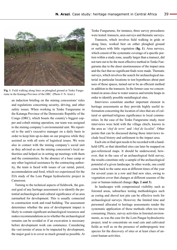

**Fig. 1**. Field walking along lines on ploughed ground at Tenke Fungurume in the Katanga Province of the DRC. (Photo © N. Arazi.)

an induction briefing on the mining concessions' rules and regulations concerning security, driving, and other safety issues. When working in Tenke Fungurume in the Katanga Province of the Democratic Republic of the Congo (DRC), which boasts the country's biggest copper and cobalt mining operation, our team was assigned to the mining company's environmental unit. We reported to the unit's executive manager on a daily basis in order to keep him up-to-date on our progress while they assisted us with all sorts of logistical issues. We were also in contact with the mining company's social unit as they advised us on the mining concession's local authorities and helped us in setting up meetings with them and the communities. In the absence of a base camp or any other logistical assistance by the contracting authority, the team is faced with issues of car rental, petrol, accommodation and food, which we experienced for the EIA study of the Lom Pangar hydroelectric project in Cameroon.

Turning to the technical aspects of fieldwork, the general goal of any heritage assessment is to identify the potential archaeological and cultural significance of an area earmarked for development. This is usually connected to construction work and road building. The assessment determines whether the area of development impact is likely to contain significant archaeological resources and makes recommendations as to whether the archaeological remains can be avoided or if an excavation is necessary before development work can commence. Considering the vast terrain of areas to be impacted by development, the major goal is to cover as much ground as possible. At Tenke Fungurume, for instance, three survey procedures were tested: transects, area surveys and thematic surveys.

Transects, which involves field walking in grids or along lines, worked best on either ploughed ground or surfaces with little vegetation (**fig. 1**). Area surveys, which consist of the systematic coverage of a specific portion within a study zone, usually larger than a transect, did not turn out to be the most effective method in Tenke Fungurume due to the sheer enormousness of the impact area and the fact that no significant finds were made. Thematic surveys, which involves the search for archaeological material in particular locations to test hypotheses about past uses of those spaces, turned out to be an efficient method in addition to the transects. In the former case we concentrated on areas close to water sources and termite heaps in order to identify possible metallurgical sites.

Interviews constitute another important element in heritage assessments as they provide highly useful information concerning the location of sites that are of cultural or spiritual/religious significance to local communities. In the case of the Tenke Fungurume study, most interviews were held with the village chiefs, known in the area as '*chef de terre*' and *'chef de localité*'. Other points that can be discussed during those interviews include local history and settlement in the impact area.

Each site or find spot needs to be recorded with a handheld GPS, so that identified sites can later be mapped on geo-referenced maps. It should be underscored, however, that in the case of an archaeological field survey, the results constitute only a sample of the archaeological potential of a given landscape. In other words, one could come back to the same area at different times of the year for several years in a row and find new sites, owing to vegetation cover that changes at different seasons of the year or human-induced change (**figs. 2 and 3**).

In landscapes with compromised visibility such as forested areas, subsurface testing methodologies such as coring and shovel test pits can be effective tools for archaeological surveys. However, the limited time and personnel allocated to heritage assessments render the systematic application of those methods often too time consuming. Hence, survey activities in forested environments, as was the case for the Lom Pangar hydroelectric project, tend to concentrate on road cuts and cultivated fields as well as on the presence of anthropogenic tree species for the discovery of sites or at least clues of ancient human activities.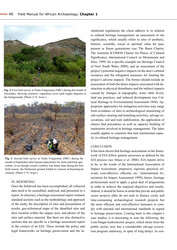

**Fig. 2**. First field survey at Tenke Fungurume (DRC) during the month of December, showing extensive vegetation cover (and copper deposits in the background). (Photo © N. Arazi.)



**Fig. 3**. Second field survey at Tenke Fungurume (DRC) during the month of September after human-induced fire for slash-and-burn agriculture. Even though overall visibility was better than during the first field season, the blackened ground tended to conceal archaeological remains. (Photo © N. Arazi.)

#### IX. REPORTING

Once the fieldwork has been accomplished, all collected data need to be assembled, analysed, and presented in a report. In structure, a heritage assessment report contains standard sections such as the methodology and approach of the study, the description of sites and presentation of results, geo-referenced maps of the identified sites and their location within the impact area, and photos of the sites and surface material. But there are also distinctive sections that are specific to a heritage assessment report in the context of an EIA. These include the policy and legal frameworks on heritage preservation and the institutional regulations the client adheres to in relation to cultural heritage management; an assessment of site significance, which usually refers to sites of aesthetic, historic, scientific, social or spiritual value for past, present or future generations (see The Burra Charter, The Australia ICOMOS Charter for Places of Cultural Significance, International Council on Monuments and Sites. 1999; for a specific example see Heritage Council of New South Wales 2009); and an assessment of the project's potential negative impacts on the area's cultural resources and the mitigation measures for limiting the project's adverse impacts. The former should include an assessment of both the direct impacts associated with destruction or physical disturbance and the indirect impacts caused by changes in topography, water table levels, land use practices, and induced development (see Cultural Heritage in Environmental Assessment 1994). Appropriate approaches for mitigation activities may range from avoidance of sites to archaeological monitoring of sub-surface clearing and trenching activities, salvage excavations, soil and rock stabilization, the application of chance find procedures as well as capacity building of institutions involved in heritage management. The latter usually applies to countries that lack institutional capacity in cultural heritage management.

#### **CONCLUSION**

It has been shown that heritage assessments in the framework of EIA follow generic processes as defined by the EIA process (see Abaza *et al*. 2004). EIA reports strive to be, in the words of the International Association of Impact Assessment, 'purposive, rigorous, practical, relevant, cost-effective, efficient, etc.' (International Association for Impact Assessment 1999); hence, heritage professionals need to apply a great deal of pragmatism in order to achieve the required objectives and results. Indeed, it should be borne in mind that private and public sector projects alike do not seek to finance costly and time-consuming archaeological research projects but the most efficient and cost-effective measures to comply with national and international standards in regard to heritage preservation. Coming back to this chapter's case studies, it is interesting to note the following: the Lom Pangar hydroelectric project, which stems from the public sector, now has a considerable salvage excavation program underway, in spite of long delays. In con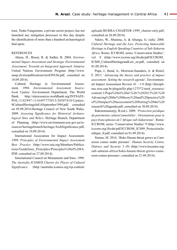trast, Tenke Fungurume, a private sector project, has not launched any mitigation processes to this day despite the identification of more than a hundred archaeological find spots.

#### REFERENCES

Abaza, H., Bisset, R. & Sadler, B. 2004. *Environmental Impact Assessment and Strategic Environmental Assessment: Towards an Integrated Approach*. Geneva: United Nations Environment Program ([http://www.](http://www.unep.ch/etu/publications/textONUbr.pdf) [unep.ch/etu/publications/textONUbr.pdf](http://www.unep.ch/etu/publications/textONUbr.pdf), consulted on 10.09.2014).

Cultural Heritage in Environmental Assessment. 1994. *Environmental Assessment Sourcebook Update.* Environment Department, The World Bank. [http://siteresources.worldbank.org/INTSAFE](http://siteresources.worldbank.org/INTSAFEPOL/1142947-1116497775013/20507410/Update8CulturalHeritageInEASeptember1994.pdf)-[POL/1142947-1116497775013/20507410/Update](http://siteresources.worldbank.org/INTSAFEPOL/1142947-1116497775013/20507410/Update8CulturalHeritageInEASeptember1994.pdf)-[8CulturalHeritageInEASeptember1994.pdf,](http://siteresources.worldbank.org/INTSAFEPOL/1142947-1116497775013/20507410/Update8CulturalHeritageInEASeptember1994.pdf) consulted on <05.09.2014.Heritage> Council of New South Wales. 2009. *Assessing Significance for Historical Archaeological Sites and Relics*. Heritage Branch, Department of Planning [\(http://www.environment.nsw.gov.au/re](http://www.environment.nsw.gov.au/resources/heritagebranch/heritage/ArchSignificance.pdf)[sources/heritagebranch/heritage/ArchSignificance.pdf,](http://www.environment.nsw.gov.au/resources/heritagebranch/heritage/ArchSignificance.pdf) consulted on 10.09.2014).

International Association for Impact Assessment. 1999. *Principles of Environmental Impact Assessment Best Practice* [\(http://www.iaia.org/Members/Publica](http://www.iaia.org/Members/Publications/Guidelines_Principles/Principles)[tions/Guidelines\\_Principles/Principles](http://www.iaia.org/Members/Publications/Guidelines_Principles/Principles)%20of[%20IA.](20IA.PDF) [PDF](20IA.PDF), consulted on 27.09.2014).

International Council on Monuments and Sites. 1999. *The Australia ICOMOS Charter for Places of Cultural Significance* [\(http://australia.icomos.org/wp-content/](http://australia.icomos.org/wp-content/uploads/BURRA-CHARTER-1999_charter-only.pdf) [uploads/BURRA-CHARTER-1999\\_charter-only.pdf,](http://australia.icomos.org/wp-content/uploads/BURRA-CHARTER-1999_charter-only.pdf) consulted on 26.09.2014).

Ndoro, W., Mumma, A. & Abungu, G. (eds). 2008. *Cultural Heritage and the Law. Protecting Immovable Heritage in English-Speaking Countries of Sub-Saharan Africa*. Rome: ICCROM, series 'Conservation Studies', vol. 8 ([http://www.iccrom.org/ifrcdn/pdf/ICCROM\\_](http://www.iccrom.org/ifrcdn/pdf/ICCROM_ICS08_CulturalHeritageandLaw_en.pdf) [ICS08\\_CulturalHeritageandLaw\\_en.pdf,](http://www.iccrom.org/ifrcdn/pdf/ICCROM_ICS08_CulturalHeritageandLaw_en.pdf) consulted on 01.09.2014).

Pope, J., Bond, A., Morrison-Saunders, A. & Retief, F. 2013. '*Advancing the theory and practice of impact assessment: Setting the research agenda*', Environmental Impact Assessment Review 41 : 1-9 [\(http://discipli](http://disciplinas.stoa.usp.br/pluginfile.php/127572/mod_resource/content/1/Pope)[nas.stoa.usp.br/pluginfile.php/127572/mod\\_resource/](http://disciplinas.stoa.usp.br/pluginfile.php/127572/mod_resource/content/1/Pope) [content/1/Pope](http://disciplinas.stoa.usp.br/pluginfile.php/127572/mod_resource/content/1/Pope)%20et%20al.%20-%202013%20-%20 Advancing%20the%20theory%20and%20practice%20 of%20impact%20assessment%20Setting%20the%20 research[%20agenda.pdf,](20agenda.pdf) consulted on 30.09.2014).

Rakotomamonjy, B.(ed.). 2009. '*Protection juridique du patrimoine culturel immobilier : Orientations pour le pays francophones de l'Afrique sub-Saharienne*'. Rome: ICCROM, series 'Conservation Studies' 9 [\(http://www.](http://www.iccrom.org/ifrcdn/pdf/ICCROM_ICS09_ProtectionJuridique_fr.pdf) [iccrom.org/ifrcdn/pdf/ICCROM\\_ICS09\\_ProtectionJu](http://www.iccrom.org/ifrcdn/pdf/ICCROM_ICS09_ProtectionJuridique_fr.pdf)ridique fr.pdf, consulted on 01.09.2014).

Simms, M. 2014. 'Boko Haram threat grows as Cameroon comes under pressure'. *Human Security Centre, Defence and Security* 3 (9) [\(http://www.hscentre.org/](http://www.hscentre.org/sub-saharan-africa/boko) [sub-saharan-africa/boko-](http://www.hscentre.org/sub-saharan-africa/boko)haram-threat-grows-cameroon-comes-pressure/, consulted on 21.09.2014).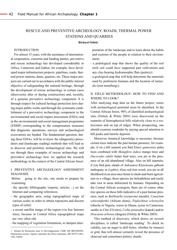# Rescue and preventive Archeology: roads, thermal power stations and quarries

#### **Richard Oslisly**1

#### INTRODUCTION **<sup>1</sup>**

For almost 15 years, with the assistance of international cooperation, consortia and funding parties, preventive and rescue archaeology has developed considerably in Africa. Cameroon and Gabon, for example, have developed major infrastructure projects: pipelines, roads, thermal power stations, dams, quarries, etc. These major projects are carried out in accordance with the public interest objective of safeguarding the national heritage, through the development of rescue archaeology in certain cases (discoveries after or during construction) and, recently, of a genuine preventive archaeology component. It is through respect for cultural heritage protection laws during major public works and through the systematic establishment of a preventive archaeology component in the environmental and social impact assessment (ESIA) and in the environmental and social management programme (ESMP) corresponding to the compensation measures that diagnostic operations, surveys and archaeological excavations are funded. The fundamental question, during these ESIAs, will be to know the (diagnostic) procedures and (landscape reading) methods that will lead us to discover and prioritize archaeological sites. We will see through three examples of rescue archaeology and preventive archaeology how we applied the research methodology in the context of the Central African forest.

## I. PREVENTIVE ARCHAEOLOGY ASSESSMENT DIAGNOSIS

Before going to the site, one needs to prepare by examining:

- the specific bibliography (reports, articles…) on the Internet and comparing references;
- the geographic area, using topographical maps of various scales in order to obtain toponyms and discern types of relief;
- a recent satellite image of the region (via free Internet sites), because in Central Africa topographical maps are very often old;
- the mapping of vegetation formations, to sharpen inter-

pretation of the landscape and to learn about the habits and customs of the people in relation to their environment;

- a pedological map that shows the quality of the soil (rich soil could have supported past cultivation) and any clay-bearing hydromorphic flats (pottery);
- a geological map that will help determine the materials used by prehistoric humans and the location of minerals (iron metallurgy).

## II. FIELD METHODOLOGY: HOW TO FIND AND WHERE TO LOOK?

After analysing map data on the future project, zones with archaeological potential must be identified. In the Central African forest, 90% of identified archaeological sites (Oslisly & White 2003) were discovered on the summits of hemispherical hills relatively close to a watercourse and on top of ridges. When prospecting, one should examine roadsides by paying special attention to hill peaks and laterite deposits.

Moreover, botanical knowledge is necessary, because certain trees indicate the past human presence; for example, if on a hill summit you find *Elaeis guineensis* palm trees combined with *Mangifera indica* mango trees and *Dacryodes edulis* butter fruit trees, you are in the presence of an old abandoned village. Also on hill summits, if you find pure stands of *Aukoumea Klaieneana* gaboon mahogany or *Lophira Alata* red iron wood, you are in all likelihood in an area once home to slash-and-burn agriculture or a village; these species are heliophilous and easily take root in areas deforested by humans. Depending on the Central African ecoregion, there are of course other tree species on these hills indicative of a past human presence, such as *Baillonella toxisperma* (moabi), *Canarium schweinfurthii* (African elemi), *Triplochiton scleroxylon* (obeche in Nigeria, wawa in Ghana, ayous in Cameroon, samba in Côte d'Ivoire), *Ceiba pentendra* (kapok) and/or *Dracaena arborea* (dragon) (Oslisly & White 2003).

This method of discovery, which draws on several disciplines, is called 'landscape reading'*.* To check its validity, use an auger to drill holes, whether by transect or grid, that will almost certainly reveal the presence of charcoal and sometimes pottery shards.

<sup>1</sup> Institut de Recherche pour le Développement, UMR 208 IRD/MNHN, Patrimoines locaux, Agence nationale des Parcs nationaux, BP 20379 Libreville, Gabon.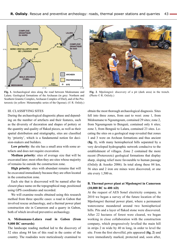

**Fig. 1.** Archaeological sites along the road between Medoumane and Lalara. Geological formations of the Archaean (in grey: Northern and Southern Granitic Complex, Archaean Complex of Ebel), and of the Proterozoic (in yellow: Metamorphic series of the Ogooue). (© R. Oslisly.)



**Fig. 2**. Mpolongwé: discovery of a pit (dark area) in the trench. (Photo © R. Oslisly.)

#### III. CLASSIFYING SITES

During the archaeological diagnostic phase and depending on the number of artefacts and their features, such as the diversity of decoration and shapes of pottery or the quantity and quality of flaked pieces, as well as their spatial distribution and stratigraphy, sites are classified by 'priority', which is a fundamental notion for decision-makers and builders.

**Low priority**: the site has a small area with some artefacts and does not require excavation.

**Medium priority**: sites of average size that will be excavated later; most often they are sites whose majority of remains lie outside the construction zone.

**High priority**: sites with abundant remains that will be excavated immediately because they are often located in the construction zone.

Each site that is discovered will be named after the closest place name on the topographical map, positioned using GPS coordinates and recorded.

We will examine results obtained using this research method from three specific cases: a road in Gabon that involved rescue archaeology, and a thermal power plant construction site in Cameroon and a quarry in Gabon, both of which involved preventive archaeology.

## **A. Médoumane-Lalara road in Gabon (from 9,000 BC onwards)**

The landscape reading method led to the discovery of 52 sites along 84 km of this road in the centre of the country. The roadsides were meticulously examined to

obtain the most thorough archaeological diagnosis. Sites fell into three zones, from east to west: zone 1, from Médoumane to Ngoumgoum, contained 29 sites; zone 2, from Ngoumgoum to Benguié, contained only 6 sites; zone 3, from Benguié to Lalara, contained 23 sites. Locating the sites on a geological map revealed that zones 1 and 3 were on Archean formations and thus ancient (**fig. 1**), with many hemispherical hills separated by a very developed hydrographic network conducive to the establishment of villages. Zone 2 contained the more recent (Proterozoic) geological formations that display sharp, sloping relief more favourable to human passage (Oslisly & Assoko 2006). In total along these 84 km, 56 sites and 2 iron ore mines were discovered, or one site every 1,500 m.

## **B. Thermal power plant at Mpolongwé in Cameroon (10,000 BC to 400 AD)**

At the request of AES Sonel electricity company, in 2010 we began a survey of the future location of the Mpolongwé thermal power plant, where a permanent watercourse meandered around two hemispherical hills. Pits and a layer of flaked stone were discovered. After 22 hectares of forest were cleared, we began working in close collaboration with the construction company, which progressively levelled the main hill in strips 2 m wide by 40 m long, in order to level the site. From the first shovelful, pits appeared (**fig. 2**) and were immediately marked, protected and, soon after,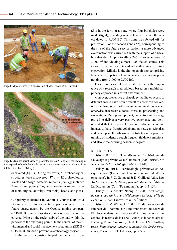

**Fig. 3**. Mpolongwé: grid excavation phase. (Photo © R. Oslisly.)



**Fig. 4.** Mikaka: aerial view of protected zones Z1 and Z2; the rectangles correspond to boreholes made during the diagnostic phase (adapted from COMILOG by R. Oslisly.)

excavated (**fig. 3**). During this work, 50 archaeological structures were discovered: 37 pits, 12 archaeological levels and a forge. Material remains (392 kg) included flaked stone, pottery fragments, earthenware, remnants of metallurgical activity (iron tools), beads, and glass.

#### **C. Quarry at Mikaka in Gabon (11,000 to 6,000 BC)**

During a 2013 environmental impact assessment of a future quartz quarry by the Ogooué mining company (COMILOG), numerous stone flakes of jasper were discovered, lying on the rocky slabs of the land within the purview of the quarrying permit. In the context of the environmental and social management programme (ESMP), COMILOG funded a preventive archaeology project.

Preliminary diagnostics helped define a first zone

(Z1) in the form of a butte where four boreholes were made (**fig. 4**), revealing several levels of which the oldest dated to 9,500 BC. This zone was fenced off for protection. For the second zone (Z2), corresponding to the site of the future service station, a more advanced examination was carried out with the support of a backhoe that dug 41 pits totalling  $246 \text{ m}^3$  over an area of 3,000 m2 and yielding almost 1,000 flaked stones. This second zone was also fenced off with a view to future excavation. Mikaka is the first open air site comprising levels of occupation of hunter-gatherer-stone-knappers ranging from 3,000 to 9,500 BC.

These three examples illustrate perfectly the importance of a research methodology based on a multidisciplinary approach in a forest environment.

Moreover, preventive archaeology facilitates access to data that would have been difficult to access via conventional archaeology. Earth-moving equipment has opened otherwise inaccessible forest areas to prospecting and excavations. During each project, preventive archaeology proved to deliver a very positive experience and demonstrated that it is possible, without adverse economic impact, to have fruitful collaboration between scientists and developers. It furthermore contributes to the practical training of students through frequent fieldwork missions, and also to their earning academic degrees.

### **REFERENCES**

Oslisly, R. 2010. 'Une décennie d'archéologie de sauvetage et préventive au Cameroun (2000-2010)'. *Les Nouvelles de l'archéologie* 120-121: 75-80.

Oslisly, R. 2014. 'L'archéologie préventive en Afrique centrale (Cameroun et Gabon) : un outil de développement'. In J.-C. Galipaud & D. Guillaud (eds), *Une Archéologie pour le développement.* Marseille: Éditions La Discussion (Coll. 'Patrimoines'), pp. 143-154.

Oslisly, R. & Assoko Ndong, A. 2006. *Archéologie de sauvetage sur la route Médoumane-Lalara*, *vallée de l'Okano, Gabon.* Libreville: WCS Éditions.

Oslisly, R. & White, L. 2003. 'Étude des traces de l'impact de l'homme sur l'environnement au cours de l'Holocène dans deux régions d'Afrique centrale forestière : la réserve de la Lopé (Gabon) et le sanctuaire du Banyang Mbo (Cameroun)'. In A. Froment & J. Guffroy (eds), *Peuplements anciens et actuels des forêts tropicales*, Marseille: IRD Éditions, pp. 77-87.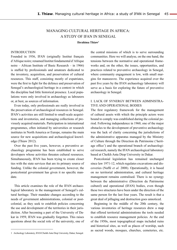# MANAGING CULTURAL HERITAGE IN AFRICA: A STUDY OF IFAN IN SEnEgal

**Ibrahima Thiaw1**

#### **INTRODUCTION**

Founded in 1936, IFAN (originally Institut français d'Afrique noire; renamed Institut fondamental d'Afrique noire – African Institute of Basic Research – in 1966) is staffed by professionals and amateurs dedicated to the inventory, acquisition, and preservation of cultural resources. This staff, consisting mostly of expatriates, were the first to fight for the defence and preservation of Senegal's archaeological heritage in a context in which the discipline had little historical presence. Local populations were only involved in archaeology as labourers or, at best, as sources of information.

Even today, only professionals are really involved in the preservation of archaeological resources in Senegal. IFAN's activities are still limited to small-scale acquisitions and inventories, and managing collections of previously acquired materials. Participation in international programmes, often initiated by universities or research institutes in North America or Europe, remains the main source for new acquisitions and archaeological knowledge (Thiaw 2012).

Over the past five years, however, a preventive archaeology programme has been established to serve developers whose activities threaten cultural resources. Simultaneously, IFAN has been trying to create closer ties with the state services that are its primary source of funding. Unlike the colonial government, however, the postcolonial government has given it no specific mandate.

This article examines the role of the IFAN archaeological laboratory in the management of Senegal's cultural heritage. Their mandate changes according to the needs of government administrations, colonial or postcolonial, as they seek to establish policies concerning the use and development of the territories in their jurisdiction. After becoming a part of the University of Dakar in 1959, IFAN was gradually forgotten. This raises questions about the social role of the university, one of the central missions of which is to serve surrounding communities. Here we will analyse, on the one hand, the tensions between the normative and operational frameworks and, on the other, the issues, opportunities, and practices related to preventive archaeology in Senegal, where community engagement is low, with small margins for manoeuvre. The experience acquired over the past five years by the IFAN archaeology laboratory will serve as a basis for exploring the future of preventive archaeology in Senegal.

## I. LACK OF SYNERGY BETWEEN ADMINISTRA-TIVE AND OPERATIONAL BODIES

The first regulatory framework for the management of cultural assets with which the principle actors were bound to comply was established during the colonial period. Following independence in 1960, one of the major obstacles to the development of preventive archaeology was the lack of clarity concerning the jurisdictions of the administrative apparatus managed by the Ministry of Culture through the Direction du Patrimoine ('heritage office') and the operational branch of archaeological research, namely the IFAN archaeological laboratory based at Cheikh Anta Diop University in Dakar.

Postcolonial legislation has remained unchanged since law 1971-12, which regulates excavations and discoveries (Naffé *et al.* 2008). Operationally, it is based on no territorial administration, and cultural heritage management remains centralised. There is no synergy between the administrative (Direction du Patrimoine culturel) and operational (IFAN) bodies, even though these two structures have been under the direction of the same person for the last four years. The result is that a great deal of pillaging and destruction goes unnoticed.

Beginning in the middle of the 20th century, the various inventories of heritage resources drew a map that offered territorial administrations the tools needed to establish resource management policies. At the end of the 1950s, most topographical maps included ruins and historical sites, as well as places of worship, such as sacred woods, mosques, churches, cemeteries, etc.

<sup>1</sup> Archeology Laboratory, IFAN/Cheikh Anta Diop University, Dakar, Senegal.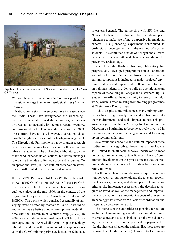

**Fig. 1.** Visit to the burial mounds at Ndayane, Diourbel, Senegal. (Photo © I. Thiaw.)

We note however that more attention was paid to the intangible heritage than to archaeological sites (Arazi & Thiaw 2013).

National or regional inventories have increased since the 1970s. These have strengthened the archaeological map of Senegal, even if the archaeological laboratory was not associated with the most recent inventory, commissioned by the Direction du Patrimoine in 2003. These efforts have not led, however, to a national database that might serve as a tool for heritage management. The Direction du Patrimoine is happy to grant research permits without having to worry about follow-up or database management. The archaeology laboratory, on the other hand, expands its collections, but barely manages to organise them due to limited space and resources. On an operational level, IFAN's cultural preservation activities are still limited to acquisition and salvage.

II. PREVENTIVE ARCHAEOLOGY IN SENEGAL: PRACTICES, OPPORTUNITIES, AND CHALLENGES The first attempts at preventive archaeology in Senegal took place in the mid-1990s in the context of the Cayor Canal project with the Consortium SNC-Lavallin/ BCEOM. The works, which consisted essentially of surveying, were directed by Massamba Lame. It would be another ten years before another attempt was made, this time with the Oromin Joint Venture Group (OJVG). In 2009, an international team made up of SRI Inc., Nexus Heritage, and the IFAN Cheikh Anta Diop archaeology laboratory undertook the evaluation of heritage resources in the OJVG mining perimeter, located in Sabodala,

in eastern Senegal. The partnership with SRI Inc. and Nexus Heritage was strained by the developer's reluctance to make use of more expensive international experts. This pioneering experiment contributed to professional development, with the training of a dozen students. This continued outside of Senegal and allowed capacities to be strengthened, laying a foundation for preventive archaeology.

Since then, the IFAN archaeology laboratory has progressively developed programmes in collaboration with other local or international firms to ensure that the cultural component is included in major projects' environmental or social impact studies. It continues to focus on training students in order to build an operational team capable of responding in Senegal and elsewhere (**fig. 1**). Students are offered the opportunity to take part in fieldwork, which is often missing from training programmes at Cheikh Anta Diop University.

Today, despite some reluctance, many mining companies have progressively integrated archaeology into their environmental and social impact studies. This progress has yet to incite the Ministry for Culture and the Direction du Patrimoine to become actively involved in the process, notably in assessing reports and following up on recommendations.

As a result, the economic and cultural impact of these studies remains negligible. Preventive archaeology is still limited to small-scale surveys undertaken to meet donor requirements and obtain licences. Lack of government involvement in the process means that the recommendations made during the pre-feasibility stage are rarely followed.

On the other hand, some decisions require cooperation between various stakeholders, the relevant government services, funders, and developers. Classification criteria, site importance assessment, the decision to acquire or avoid, as well as the management and improvement of collections, are important aspects of preventive archaeology that suffer from a lack of coordination and cooperation between these actors.

The interests of the authorities responsible for culture are limited to maintaining a handful of colonial buildings in urban zones and to sites included on the World Heritage list, which are used to fuel political propaganda. Just like the sites classified on the national list, these sites are exposed to all kinds of attacks (Thiaw 2014). Certain na-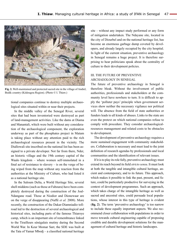

**Fig. 2.** Well-maintained and protected sacred site in the village of Andiel, Bedik country (Kédougou Region). (Photo © I. Thiaw.)

tional companies continue to destroy multiple archaeological sites situated within or near their projects.

In the middle valley of the Senegal River, several sites that had been inventoried were destroyed as part of land-management activities. Like the dams at Diama and Manantali, which were built without any consideration of the archaeological component, the exploration underway as part of the phosphates project in Matam is taking place without any attention paid to the rich archaeological resources present in the vicinity. The Diallowali site inscribed on the national list has been assigned to a private developer. Not far from there, Nder, an historic village and the 19th century capital of the Waalo kingdom – where women self-immolated in a final act of resistance to slavery – is on the verge of being wiped from the map without any reaction from the authorities at the Ministry of Culture, who had listed it as a national heritage site.

In the Saloum Delta, a World Heritage Site, several shell middens (such as those at Faboura) have been completely destroyed during the construction of the Joal-Ndangane road. Those at Niodior and Dionewaar are on the verge of disappearing (Naffé *et al.* 2008). More recently, the construction of the Dakar-Diamniadio tollroad led to the destruction of several archaeological and historical sites, including parts of the famous Thiaroye camp, which is an important site of remembrance linked to the Tirailleurs sénégalais mutiny during the Second World War. In Keur Momar Sarr, the SDE was built at the Tata of Yamar Mbodj – a classified national heritage site – without any impact study performed or any form of mitigation undertaken. The Ndayane site, located in the city of Diourbel and on the national heritage list, has become an enormous garbage dump coveted by developers, and already largely occupied by the city hospital. In light of the current situation, preventive archaeology in Senegal remains a huge project. It is therefore surprising to hear politicians speak about the centrality of culture to their development policies.

## III. The future of preventive archaeology in Senegal

The future of preventive archaeology in Senegal is therefore bleak. Without the involvement of public authorities, professionals and stakeholders at the community level have nowhere to turn. It is difficult to apply the 'polluter pays' principle when government services show neither the necessary vigilance nor political will. The absence from the field of state authorities or funders leads to all kinds of abuses. Links to the state are even the pretext on which national companies refuse to comply with procedure. They consider archaeologicalresources management and related costs to be obstacles to development.

The development of preventive archaeology requires a more sustained engagement with community stakeholders. Collaboration is necessary and must lead to the joint definition of research agendas by professionals and local communities and the identification of relevant issues.

If it is to play its role fully, preventive archaeology must extend its reach beyond its field *stricto sensu*. It must look at both the tangible and intangible cultural heritage, ancient and contemporary, and to its future. This approach, which makes it possible to link the past, present, and future, could be particularly productive for surveying in the context of development programmes. Such an approach, which takes charge of the intangible heritage as well as sacred and ancestral sites, could persuade local populations, whose interest in this type of heritage is evident (**fig. 2**). The term 'preventive archaeology' is too narrow to include these equally important aspects. We also recommend closer collaboration with populations in order to move towards cultural engineering capable of proposing credible and durable development solutions for the management of cultural heritage and historic landscapes.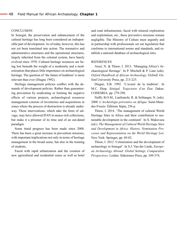#### **CONCLUSION**

In Senegal, the preservation and enhancement of the cultural heritage has long been considered an indispensible part of development. As of today, however, this has not yet been translated into action. The normative and administrative structures and the operational structures, largely inherited from the colonial system, have barely evolved since 1970. Cultural heritage resources are being lost beneath the weight of a modernity and a modernisation that places little importance on archaeological heritage. The question of 'the future of tradition' is more relevant than ever (Diagne 1992).

Heritage management policies conflict with the demands of development policies. Rather than guaranteeing prevention by eradicating or limiting the negative effects of various projects, archaeological resources management consists of inventories and acquisitions in zones where the process of destruction is already underway. These interventions, which take the form of salvage, may have allowed IFAN to amass rich collections, but make it a prisoner of its time and of an out-dated paradigm.

Some timid progress has been made since 2008. There has been a great increase in prevention missions, with important implications not only in terms of heritage management in the broad sense, but also in the training of students.

Faced with rapid urbanization and the creation of new agricultural and residential zones as well as hotel

and road infrastructure, faced with mineral exploration and exploitation, etc., these preventive missions remain negligible. The Ministry of Culture must urgently and in partnership with professionals set out legislation that conforms to international norms and standards, and establish a national database of archaeological sites.

#### REFERENCES

Arazi, N. & Thiaw, I. 2013. 'Managing Africa's Archaeological Heritage'. In P. Mitchell & P. Lane (eds). *Oxford Handbook of African Archaeology*. Oxford: Oxford University Press, pp. 213-225.

Diagne, S.B. 1992. 'L'avenir de la tradition'. In M.C. Diop. *Sénégal. Trajectoire d'un État*. Dakar: CODESRIA, pp. 279-298.

Naffé, B.O.M., Lanfranchi, R. & Schlanger, N. (eds). 2008. *L'Archéologie préventive en Afrique.* Saint-Maurdes-Fossés: Éditions Sépia, 256 p.

Thiaw, I. 2014. 'The management of cultural World Heritage Sites in Africa and their contribution to sustainable development in the continent'. In S. Makuvaza (ed.). *The Management of Cultural World Heritage Sites and Development in Africa: History, Nomination Processes and Representation on the World Heritage List.*  New York: Springer, pp. 69-82.

Thiaw, I. 2012 'Colonization and the development of archaeology in Senegal'. In S.J. Van der Linde, *European Archaeology Abroad: Global Settings, Comparative Perspectives*. Leiden: Sidestones Press, pp. 349-374.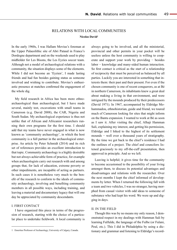# Relations with local communities **Nicolas David1**

In the early 1960s, I was Hallam Movius's foreman at the Upper Palaeolithic site of Abri Pataud in France's Dordogne department and on the weekends used to play midfielder for Les Bisons, the Les Eyzies soccer team. Although not a model of archaeological relations with a community, the situation displays some of the elements. While I did not become an 'Eyzien', I made lasting friends and had fun besides gaining status as someone involved and wishing to contribute. Movius's enthusiastic presence at matches confirmed the engagement of the whole dig. **<sup>1</sup>**

My field research in Africa has been more ethnoarchaeological than archaeological, but I have made several, mainly test, excavations with small teams in Cameroon (e.g. David 2008), the CAR, Nigeria and South Sudan. My archaeological experience is thus not unlike that of African and Africanist researchers running their own programs for the first time. I should add that my teams have never engaged in what is now known as 'community archaeology', in which the host community is a full partner in the archaeological enterprise. An article by Peter Schmidt (2014) and its rich set of references provides an excellent introduction to that topic. Community archaeology is a highly desirable but not always achievable form of practice, for example when archaeologists carry out research with and among groups that, for lack of education, extreme poverty or other impediments, are incapable of acting as partners. In such cases it is nonetheless very much to the benefit of the research to conform to the ideals of community archaeology, involving and benefiting community members in all possible ways, including training, and leaving a material and documentary legacy that will one day be appreciated by community descendants.

#### I. FIRST CONTACT

I have organized this piece in terms of the progression of research, starting with the choice of a particular place to undertake fieldwork. A local community is always going to be involved, and all the ministerial, provincial and other permits in your pocket will be useless unless the host community is willing to cooperate and support your work by providing − besides labor − knowledge and many-sided human interaction. So first contact is critical as the start of a relationship of reciprocity that must be perceived as balanced by all parties. Luckily you are interested in something that interests them: their past and their present. For even if the chosen community is one of recent conquerors, as at Bé in northern Cameroon, its inhabitants knew a great deal about making a living in that environment, and were intrigued by the mounds produced by their predecessors (David 1971). In 1967, accompanied by Eldridge Mohammadou, ethnohistorian, guide and friend, we toured much of Cameroon looking for sites that might inform on the Bantu expansion. I wanted to work at Bé as soon as I saw it. After visiting the chief, Alhaji Hamman Sali, explaining my interest, and getting his permission, Eldridge and I hiked to the highest of its settlement mounds − well over a thousand years of stratigraphy. By the time we got back to the chief's residence I had the outlines of a project. The chief and councilors listened graciously to my off-the-cuff presentation, then approved in principle. And so we left.

Leaving is helpful; it gives time for the community to become accustomed to the possibility of your living amongst them, to discuss its potential advantages and disadvantages and relations with the researcher. Over the next months I kept the chief informed of developments by letter. When I returned the following fall with a team and two vehicles, I was no stranger, having morphed from casual visitor with odd ideas to someone of substance who had kept his word. We were up and digging in days.

#### II. IN THE FIELD

Though this was by no means my only reason, I demonstrated respect in my dealings with Hamman Sali by learning Fulfulde, the language of the Fulbe (or Fulani, Peul, etc.). This I did in Philadelphia by using a dictionary and grammar and listening to Eldridge's record-

<sup>1</sup> Emeritus Professor of Archaeology, University of Calgary, Canada.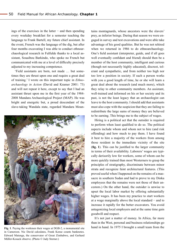ings of the exercises in the latter − and then spending every weekday breakfast for a semester teaching the language to Frank Bartell, my future chief assistant. In the event, French was the language of the dig, but after four months excavating I was able to conduct ethnoarchaeological research in Fulfulde thanks to a local assistant, Souaibou Barkindo, who spoke no French but communicated with me at a level of difficulty precisely adjusted to my increasing competence.

'Field assistants are born, not made … but sometimes they are thrust upon one and require a great deal of training.' I wrote on this important topic in *Ethnoarchaeology in Action* (David and Kramer 2001: 73) and will not repeat it here, except to say that I had an assistant thrust upon me in the first year of the 1984- 2008 Mandara Archaeological Project (MAP). He was bright and energetic but, a proud descendant of the slave-taking Wandala state, regarded Mandara Moun-



in Cameroon. Nic David calculates, Frank Kense counts banknotes. Edward Matenga, the conservator of Great Zimbabwe, and Gerhard Müller-Kosack observe. (Photo © Judy Sterner.)

tains montagnards, whose ancestors were the slavers' prey, as inferior beings. During that season we were engaged in survey and test excavations and were able take advantage of his good qualities. But he was not rehired when we returned in 1986 to do ethnoarchaeology. One's field assistant (interpreter, guide, and if all goes well eventually confidant and friend) should then be a member of the host community, intelligent and curious (though not necessarily highly educated), discreet, tolerant and sympathetic, and from neither too high nor too low a position in society. If such a person works with you a good length of time, he or she will learn a great deal about the research (and much more), which they relay to other community members. An assistant, well-trained and informed on his or her society and its past, is not the least legacy that an archaeologist can leave to the host community. I should add that assistants must also cope with the suspicion that they are failing to redistribute the large sums of money they are believed to be earning. This brings me to the subject of wages.

Hiring is a political act that the outsider is required to perform when least qualified to do so. The political aspects include whom and whom not to hire (and risk offending) and how much to pay them. I have found it best to hire a majority of the workers from among those resident in the immediate vicinity of the site (**fig. 1**). This can be justified to the larger community in terms of their availability. Laborers' wages are typically derisorily low for workers, some of whom can be more quickly trained than most Westerners to grasp the principles of stratigraphy, discriminate between minor strata and recognize faint architectural features. (This proved useful when I happened on the remains of a massacre in southern Sudan and had to prove to my Dinka employees that the remains were not those of their ancestors.) On the other hand, the outsider is unwise to upset the local labor market by offering substantially higher wages. It has been my practice to start workers at a wage marginally above the local standard − and to increase it rapidly for the better excavators. You avoid antagonizing local employers and at the same time gain goodwill and respect.

It's not just a matter of money. In Africa, far more than in the West, personal and business relationships go Fig. 1. Paying the workmen their wages at DGB-2, a monumental site hand in hand. In 1975 I brought a small team from the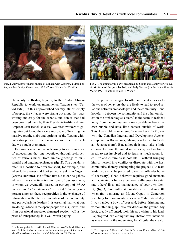

**Fig. 2**. Judy Sterner shares photos of Canada with Gobway, a Sirak potter, and her family. Cameroon, 1990. (Photo © Nicholas David.)

University of Ibadan, Nigeria, to the Central African Republic to work on monumental Tazunu sites (David 1983). In this impoverished country, almost empty of people, the villages were strung out along the roads waiting endlessly for the schools and clinics that had been promised them by their President-for-life and later Emperor Jean-Bédel Bokassa. We hired workers at going rates but found they were incapable of handling the massive granite slabs and uprights of the Tazunu without extra protein in their manioc-based diet. So each day we bought them meat.

Entering a new culture is learning to swim in a sea of expectations that one negotiates through reciprocities of various kinds, from simple greetings to substantial and ongoing exchanges (**fig. 2**). The outsider is often in a position to offer transport, for example, and when Judy Sterner and I got settled at Sukur in Nigeria ([www.sukur.info\)](www.sukur.info), she offered first aid to our neighbors while at the same time training one of our assistants, to whom we eventually passed on our copy of *Where there is no doctor* (Werner *et al.* 1993).<sup>2</sup> Crucially important amongst these reciprocities is the exchange of information with interested members of the community and particularly its leaders. It is essential that what you are doing is done in the open; people are suspicious, and if an occasional spectator-damaged section wall is the price of transparency, it is well worth paying.



**Fig. 3**. The going away party organized by Sukur and Damay for Nic David (in front of the great baobab) and Judy Sterner (on the dance floor) in March 1993. (Photo © James H. Wade.)

The previous paragraphs offer sufficient clues as to the types of behaviors that are likely to lead to good relations between archaeologist and the community − and hopefully between the community and the other outsiders in the archaeologist's team.<sup>3</sup> If the team is resident away from the community, it may be able to live in its own bubble and have little contact outside of work. This, I was told by an amused Tale teacher in 1991, was why the Canadian International Development Agency compound in Bolgatanga, Ghana, was known to locals as 'Johannesburg'. But, although it may take a little courage to make the initial move, every archaeologist needs to get involved and to learn as much about local life and culture as is possible − without bringing him or herself into conflict or disrepute with the host community, thereby endangering the project. (As team leader, you must be prepared to send an offender home if necessary.) Good behavior requires good manners and achieving a balance between willingness to enter into others' lives and maintenance of your own identity (**fig. 3**). You will make mistakes, as I did in 2001 when first venturing up Mount Oupay in Cameroon searching for monumental sites on a Mafa festival day. I was handed a bowl of beer and, before drinking and without thinking, spilled a few drops on the ground. My host, greatly affronted, took this as a claim to his land. I apologized, explaining that my libation was intended, as elsewhere in the mountains, for Zhigile, the creator

<sup>2</sup> Judy was qualified to provide first aid. All members of the MAP 1986 team took a St Johns Ambulance course, an investment that paid off, for example when Kodzo Gavua resuscitated a Mafa baby who had 'died' twice.

<sup>3</sup> The chapter on fieldwork and ethics in David and Kramer (2001: 63-90) offers much more on this and related topics.